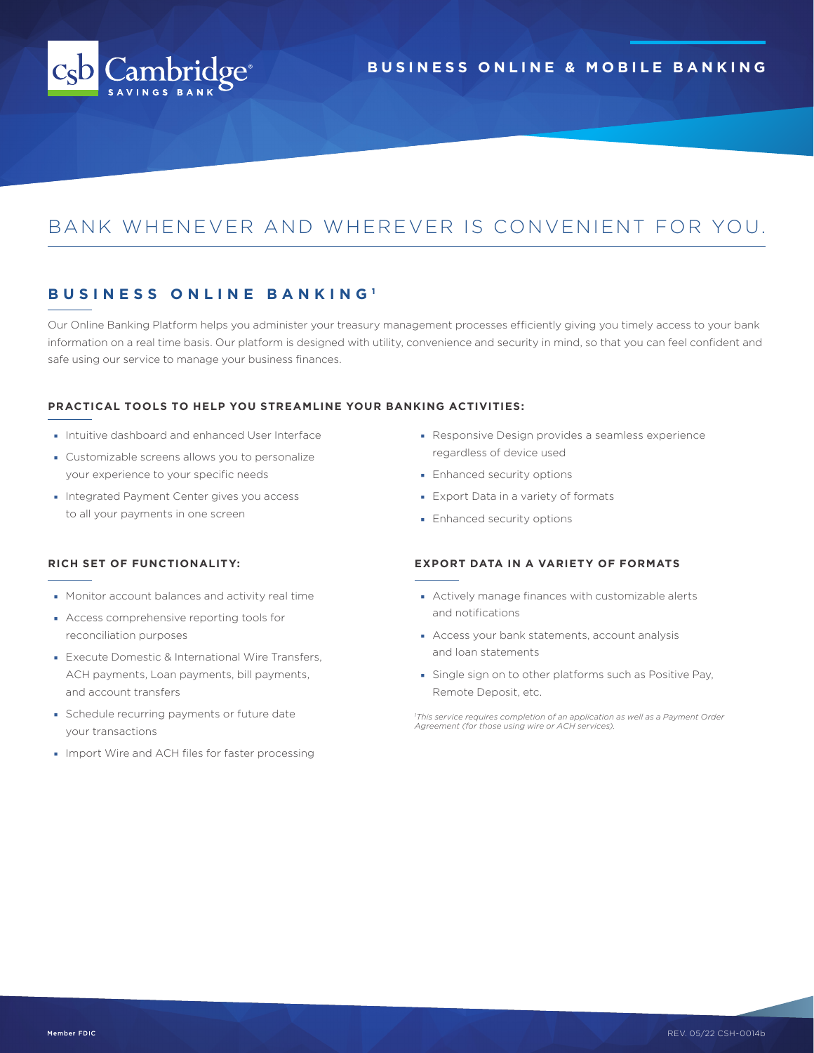

# BANK WHENEVER AND WHEREVER IS CONVENIENT FOR YOU.

### **BUSINESS ONLINE BANKING <sup>1</sup>**

Our Online Banking Platform helps you administer your treasury management processes efficiently giving you timely access to your bank information on a real time basis. Our platform is designed with utility, convenience and security in mind, so that you can feel confident and safe using our service to manage your business finances.

### **PRACTICAL TOOLS TO HELP YOU STREAMLINE YOUR BANKING ACTIVITIES:**

- Intuitive dashboard and enhanced User Interface
- Customizable screens allows you to personalize your experience to your specific needs
- Integrated Payment Center gives you access to all your payments in one screen
- Responsive Design provides a seamless experience regardless of device used
- Enhanced security options
- Export Data in a variety of formats
- Enhanced security options

- Monitor account balances and activity real time
- Access comprehensive reporting tools for reconciliation purposes
- Execute Domestic & International Wire Transfers, ACH payments, Loan payments, bill payments, and account transfers
- Schedule recurring payments or future date your transactions
- Import Wire and ACH files for faster processing
- **RICH SET OF FUNCTIONALITY: EXPORT DATA IN A VARIETY OF FORMATS**
	- Actively manage finances with customizable alerts and notifications
	- Access your bank statements, account analysis and loan statements
	- Single sign on to other platforms such as Positive Pay, Remote Deposit, etc.

*1 This service requires completion of an application as well as a Payment Order Agreement (for those using wire or ACH services).*